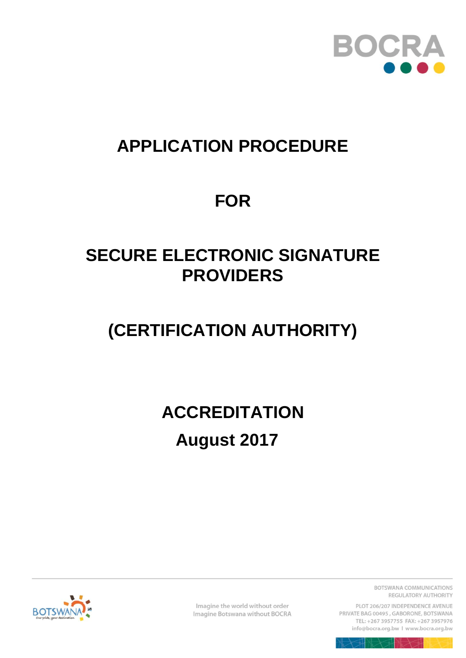

### **APPLICATION PROCEDURE**

## **FOR**

### **SECURE ELECTRONIC SIGNATURE PROVIDERS**

# **(CERTIFICATION AUTHORITY)**

**ACCREDITATION August 2017**



Imagine the world without order Imagine Botswana without BOCRA BOTSWANA COMMUNICATIONS REGULATORY AUTHORITY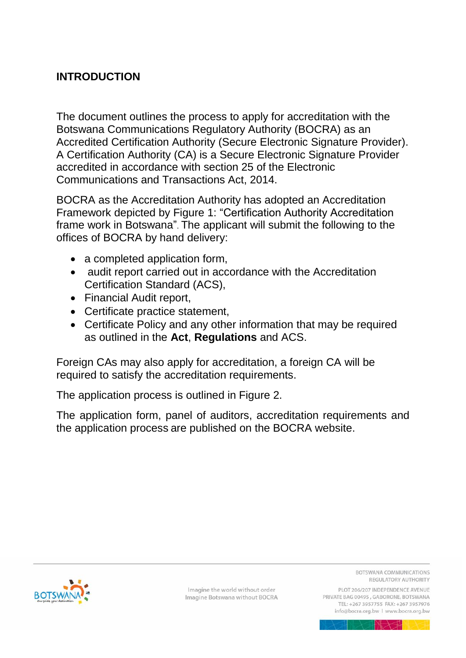#### **INTRODUCTION**

The document outlines the process to apply for accreditation with the Botswana Communications Regulatory Authority (BOCRA) as an Accredited Certification Authority (Secure Electronic Signature Provider). A Certification Authority (CA) is a Secure Electronic Signature Provider accredited in accordance with section 25 of the Electronic Communications and Transactions Act, 2014.

BOCRA as the Accreditation Authority has adopted an Accreditation Framework depicted by Figure 1: "Certification Authority Accreditation frame work in Botswana". The applicant will submit the following to the offices of BOCRA by hand delivery:

- a completed application form,
- audit report carried out in accordance with the Accreditation Certification Standard (ACS),
- Financial Audit report,
- Certificate practice statement,
- Certificate Policy and any other information that may be required as outlined in the **Act**, **Regulations** and ACS.

Foreign CAs may also apply for accreditation, a foreign CA will be required to satisfy the accreditation requirements.

The application process is outlined in Figure 2.

The application form, panel of auditors, accreditation requirements and the application process are published on the BOCRA website.

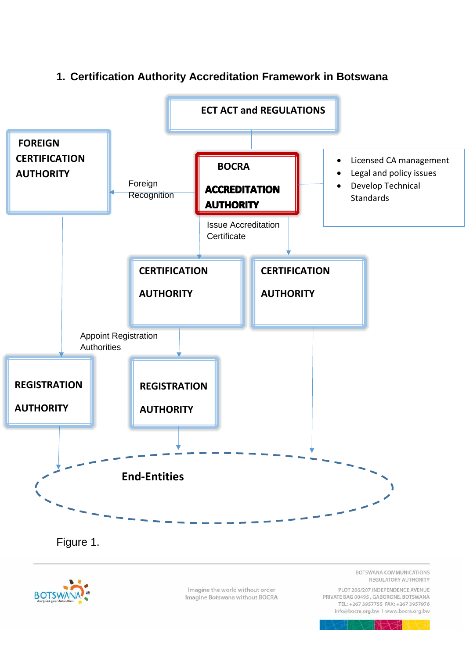### **ECT ACT and REGULATIONS FOREIGN CERTIFICATION**  Licensed CA management  **BOCRA** Legal and policy issues  **AUTHORITY** Foreign Develop Technical **ACCREDITATION Recognition Standards AUTHORITY**  Issue Accreditation **Certificate CERTIFICATION CERTIFICATION AUTHORITY AUTHORITY** Appoint Registration Authorities **REGISTRATION REGISTRATION AUTHORITY AUTHORITY End-Entities** Figure 1.

#### **1. Certification Authority Accreditation Framework in Botswana**



Imagine the world without order Imagine Botswana without BOCRA BOTSWANA COMMUNICATIONS REGULATORY AUTHORITY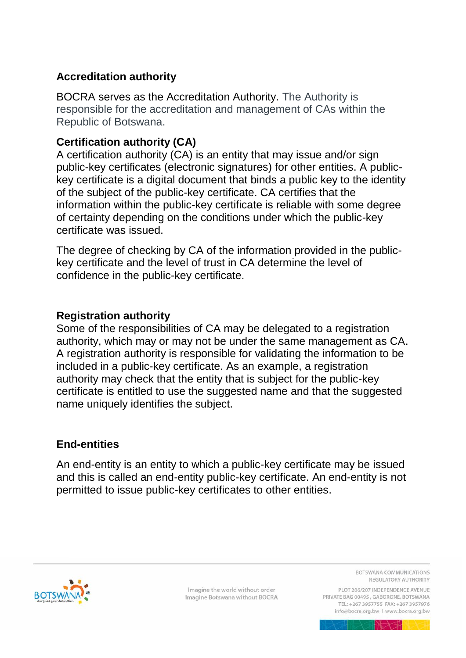#### **Accreditation authority**

BOCRA serves as the Accreditation Authority. The Authority is responsible for the accreditation and management of CAs within the Republic of Botswana.

#### **Certification authority (CA)**

A certification authority (CA) is an entity that may issue and/or sign public-key certificates (electronic signatures) for other entities. A publickey certificate is a digital document that binds a public key to the identity of the subject of the public-key certificate. CA certifies that the information within the public-key certificate is reliable with some degree of certainty depending on the conditions under which the public-key certificate was issued.

The degree of checking by CA of the information provided in the publickey certificate and the level of trust in CA determine the level of confidence in the public-key certificate.

#### **Registration authority**

Some of the responsibilities of CA may be delegated to a registration authority, which may or may not be under the same management as CA. A registration authority is responsible for validating the information to be included in a public-key certificate. As an example, a registration authority may check that the entity that is subject for the public-key certificate is entitled to use the suggested name and that the suggested name uniquely identifies the subject.

#### **End-entities**

An end-entity is an entity to which a public-key certificate may be issued and this is called an end-entity public-key certificate. An end-entity is not permitted to issue public-key certificates to other entities.



Imagine the world without order Imagine Botswana without BOCRA BOTSWANA COMMUNICATIONS REGULATORY AUTHORITY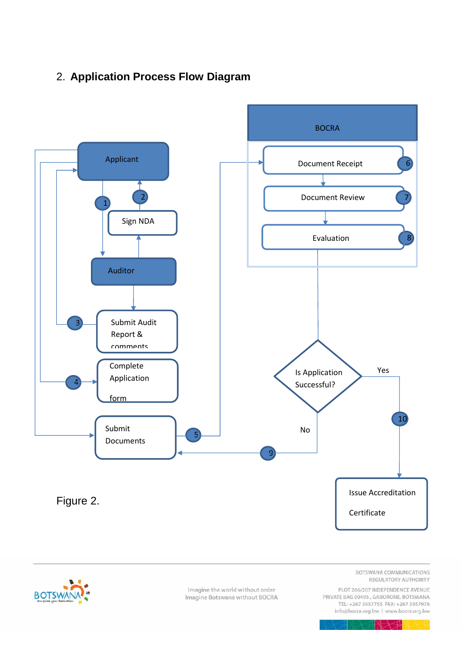#### 2. Application Process Flow Diagram





Imagine the world without order Imagine Botswana without BOCRA BOTSWANA COMMUNICATIONS REGULATORY AUTHORITY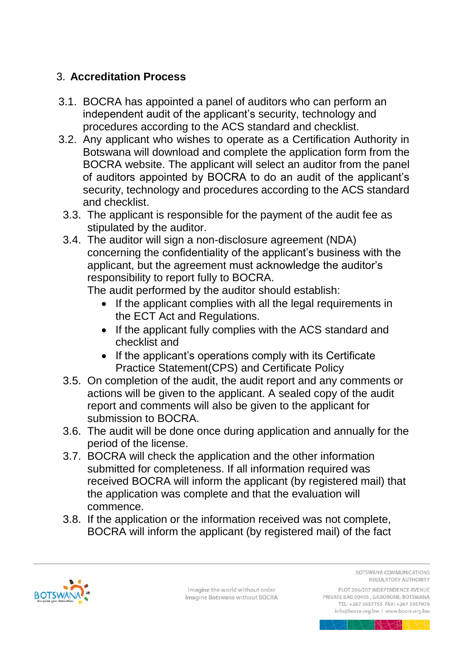#### 3. **Accreditation Process**

- 3.1. BOCRA has appointed a panel of auditors who can perform an independent audit of the applicant's security, technology and procedures according to the ACS standard and checklist.
- 3.2. Any applicant who wishes to operate as a Certification Authority in Botswana will download and complete the application form from the BOCRA website. The applicant will select an auditor from the panel of auditors appointed by BOCRA to do an audit of the applicant's security, technology and procedures according to the ACS standard and checklist.
- 3.3. The applicant is responsible for the payment of the audit fee as stipulated by the auditor.
- 3.4. The auditor will sign a non-disclosure agreement (NDA) concerning the confidentiality of the applicant's business with the applicant, but the agreement must acknowledge the auditor's responsibility to report fully to BOCRA.

The audit performed by the auditor should establish:

- If the applicant complies with all the legal requirements in the ECT Act and Regulations.
- If the applicant fully complies with the ACS standard and checklist and
- If the applicant's operations comply with its Certificate Practice Statement(CPS) and Certificate Policy
- 3.5. On completion of the audit, the audit report and any comments or actions will be given to the applicant. A sealed copy of the audit report and comments will also be given to the applicant for submission to BOCRA.
- 3.6. The audit will be done once during application and annually for the period of the license.
- 3.7. BOCRA will check the application and the other information submitted for completeness. If all information required was received BOCRA will inform the applicant (by registered mail) that the application was complete and that the evaluation will commence.
- 3.8. If the application or the information received was not complete, BOCRA will inform the applicant (by registered mail) of the fact



Imagine the world without order Imagine Botswana without BOCRA BOTSWANA COMMUNICATIONS REGULATORY AUTHORITY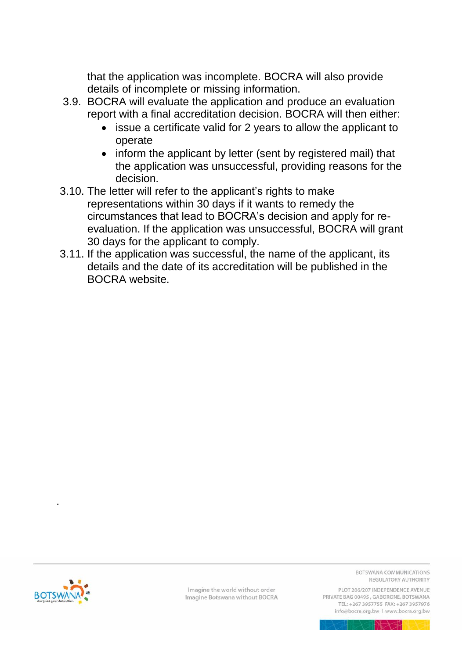that the application was incomplete. BOCRA will also provide details of incomplete or missing information.

- 3.9. BOCRA will evaluate the application and produce an evaluation report with a final accreditation decision. BOCRA will then either:
	- issue a certificate valid for 2 years to allow the applicant to operate
	- inform the applicant by letter (sent by registered mail) that the application was unsuccessful, providing reasons for the decision.
- 3.10. The letter will refer to the applicant's rights to make representations within 30 days if it wants to remedy the circumstances that lead to BOCRA's decision and apply for reevaluation. If the application was unsuccessful, BOCRA will grant 30 days for the applicant to comply.
- 3.11. If the application was successful, the name of the applicant, its details and the date of its accreditation will be published in the BOCRA website.



.

Imagine the world without order Imagine Botswana without BOCRA BOTSWANA COMMUNICATIONS REGULATORY AUTHORITY